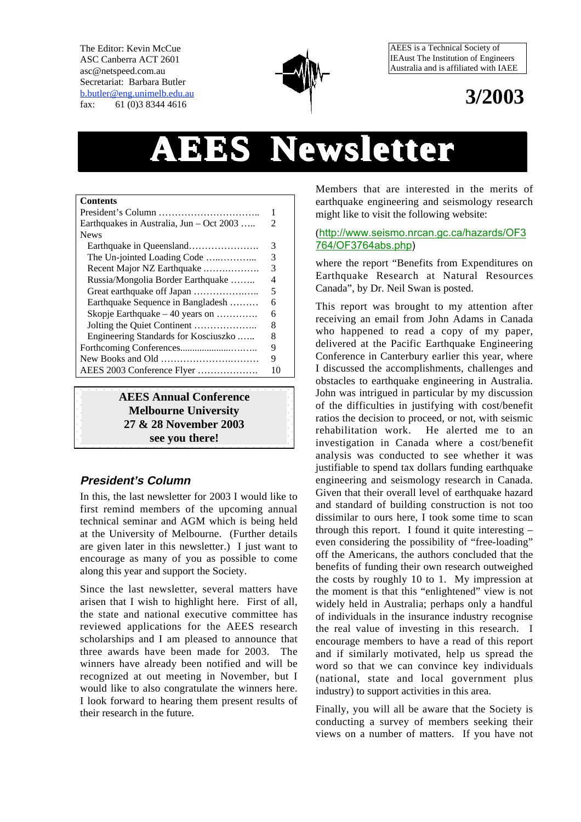The Editor: Kevin McCue ASC Canberra ACT 2601 asc@netspeed.com.au Secretariat: Barbara Butler b.butler@eng.unimelb.edu.au fax: 61 (0)3 8344 4616



AEES is a Technical Society of IEAust The Institution of Engineers Australia and is affiliated with IAEE

# **3/2003**

# **AEES Newsletter sletter**

| <b>Contents</b>                          |   |
|------------------------------------------|---|
|                                          |   |
| Earthquakes in Australia, Jun – Oct 2003 | 2 |
| <b>News</b>                              |   |
| Earthquake in Queensland                 | 3 |
| The Un-jointed Loading Code              | 3 |
| Recent Major NZ Earthquake               | 3 |
| Russia/Mongolia Border Earthquake        | 4 |
| Great earthquake off Japan               | 5 |
| Earthquake Sequence in Bangladesh        | 6 |
| Skopje Earthquake $-40$ years on         | 6 |
|                                          | 8 |
| Engineering Standards for Kosciuszko     | 8 |
|                                          | 9 |
|                                          | 9 |
| AEES 2003 Conference Flyer               |   |

**AEES Annual Conference Melbourne University 27 & 28 November 2003 see you there!**

#### **President's Column**

In this, the last newsletter for 2003 I would like to first remind members of the upcoming annual technical seminar and AGM which is being held at the University of Melbourne. (Further details are given later in this newsletter.) I just want to encourage as many of you as possible to come along this year and support the Society.

Since the last newsletter, several matters have arisen that I wish to highlight here. First of all, the state and national executive committee has reviewed applications for the AEES research scholarships and I am pleased to announce that three awards have been made for 2003. The winners have already been notified and will be recognized at out meeting in November, but I would like to also congratulate the winners here. I look forward to hearing them present results of their research in the future.

Members that are interested in the merits of earthquake engineering and seismology research might like to visit the following website:

#### (http://www.seismo.nrcan.gc.ca/hazards/OF3 764/OF3764abs.php)

where the report "Benefits from Expenditures on Earthquake Research at Natural Resources Canada", by Dr. Neil Swan is posted.

This report was brought to my attention after receiving an email from John Adams in Canada who happened to read a copy of my paper. delivered at the Pacific Earthquake Engineering Conference in Canterbury earlier this year, where I discussed the accomplishments, challenges and obstacles to earthquake engineering in Australia. John was intrigued in particular by my discussion of the difficulties in justifying with cost/benefit ratios the decision to proceed, or not, with seismic rehabilitation work. He alerted me to an investigation in Canada where a cost/benefit analysis was conducted to see whether it was justifiable to spend tax dollars funding earthquake engineering and seismology research in Canada. Given that their overall level of earthquake hazard and standard of building construction is not too dissimilar to ours here, I took some time to scan through this report. I found it quite interesting – even considering the possibility of "free-loading" off the Americans, the authors concluded that the benefits of funding their own research outweighed the costs by roughly 10 to 1. My impression at the moment is that this "enlightened" view is not widely held in Australia; perhaps only a handful of individuals in the insurance industry recognise the real value of investing in this research. I encourage members to have a read of this report and if similarly motivated, help us spread the word so that we can convince key individuals (national, state and local government plus industry) to support activities in this area.

Finally, you will all be aware that the Society is conducting a survey of members seeking their views on a number of matters. If you have not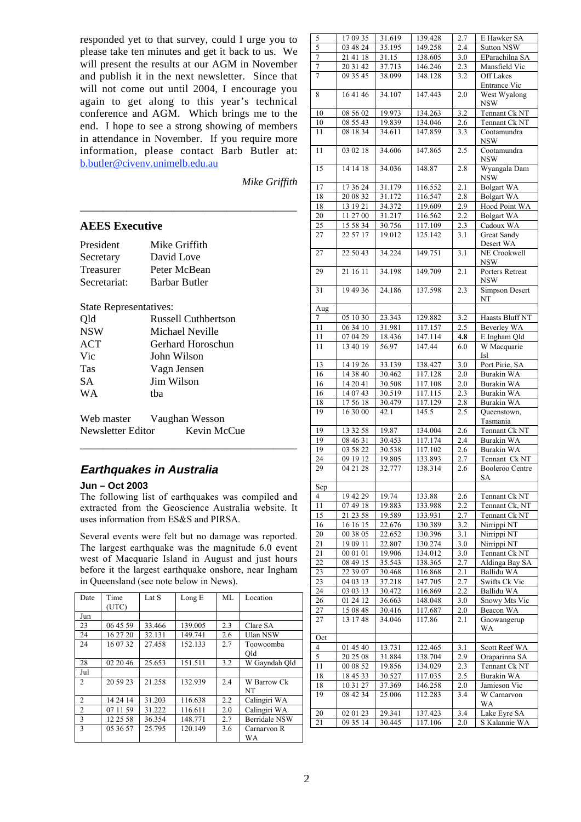responded yet to that survey, could I urge you to please take ten minutes and get it back to us. We will present the results at our AGM in November and publish it in the next newsletter. Since that will not come out until 2004, I encourage you again to get along to this year's technical conference and AGM. Which brings me to the end. I hope to see a strong showing of members in attendance in November. If you require more information, please contact Barb Butler at: b.butler@civenv.unimelb.edu.au

\_\_\_\_\_\_\_\_\_\_\_\_\_\_\_\_\_\_\_\_\_\_\_\_\_\_\_\_\_\_\_\_\_\_\_\_\_

*Mike Griffith*

#### **AEES Executive**

| President        | Mike Griffith        |
|------------------|----------------------|
| Secretary        | David Love           |
| <b>Treasurer</b> | Peter McBean         |
| Secretariat:     | <b>Barbar Butler</b> |

#### State Representatives:

| Qld        | <b>Russell Cuthbertson</b> |
|------------|----------------------------|
| <b>NSW</b> | Michael Neville            |
| ACT        | Gerhard Horoschun          |
| Vic        | John Wilson                |
| Tas        | Vagn Jensen                |
| <b>SA</b>  | Jim Wilson                 |
| <b>WA</b>  | tha                        |
|            |                            |

Web master Vaughan Wesson Newsletter Editor Kevin McCue

#### **Earthquakes in Australia**

#### **Jun – Oct 2003**

The following list of earthquakes was compiled and extracted from the Geoscience Australia website. It uses information from ES&S and PIRSA.

\_\_\_\_\_\_\_\_\_\_\_\_\_\_\_\_\_\_\_\_\_\_\_\_\_\_\_\_\_\_\_\_\_\_\_\_\_

Several events were felt but no damage was reported. The largest earthquake was the magnitude 6.0 event west of Macquarie Island in August and just hours before it the largest earthquake onshore, near Ingham in Queensland (see note below in News).

| Date           | Time<br>(UTC) | Lat S  | Long E  | ML  | Location             |
|----------------|---------------|--------|---------|-----|----------------------|
|                |               |        |         |     |                      |
| Jun            |               |        |         |     |                      |
| 23             | 06 45 59      | 33.466 | 139.005 | 2.3 | Clare SA             |
| 24             | 16 27 20      | 32.131 | 149.741 | 2.6 | Ulan NSW             |
| 24             | 16 07 32      | 27.458 | 152.133 | 2.7 | Toowoomba            |
|                |               |        |         |     | Old                  |
| 28             | 02 20 46      | 25.653 | 151.511 | 3.2 | W Gayndah Old        |
| Jul            |               |        |         |     |                      |
| 2              | 20 59 23      | 21.258 | 132.939 | 2.4 | W Barrow Ck          |
|                |               |        |         |     | <b>NT</b>            |
| $\overline{c}$ | 14 24 14      | 31.203 | 116.638 | 2.2 | Calingiri WA         |
| 2              | 07 11 59      | 31.222 | 116.611 | 2.0 | Calingiri WA         |
| 3              | 12 25 58      | 36.354 | 148.771 | 2.7 | <b>Berridale NSW</b> |
| 3              | 05 36 57      | 25.795 | 120.149 | 3.6 | Carnarvon R          |
|                |               |        |         |     | WA                   |

| 5      | 17 09 35            | 31.619 | 139.428 | 2.7              | E Hawker SA                 |
|--------|---------------------|--------|---------|------------------|-----------------------------|
| 5      | 03 48 24            | 35.195 | 149.258 | 2.4              | Sutton NSW                  |
| $\tau$ | 21 41 18            | 31.15  | 138.605 | 3.0              | EParachilna SA              |
| 7      | 20 31 42            | 37.713 | 146.246 | 2.3              | Mansfield Vic               |
| 7      | 09 35 45            | 38.099 | 148.128 | 3.2              | Off Lakes<br>Entrance Vic   |
| 8      | 16 41 46            | 34.107 | 147.443 | 2.0              | West Wyalong<br><b>NSW</b>  |
| 10     | 08 56 02            | 19.973 | 134.263 | 3.2              | Tennant Ck NT               |
| 10     | 08 55 43            | 19.839 | 134.046 | 2.6              | Tennant Ck NT               |
| 11     | 08 18 34            | 34.611 | 147.859 | 3.3              | Cootamundra                 |
| 11     | 03 02 18            | 34.606 | 147.865 | 2.5              | NSW<br>Cootamundra<br>NSW   |
| 15     | 14 14 18            | 34.036 | 148.87  | 2.8              | Wyangala Dam<br><b>NSW</b>  |
| 17     | 17 36 24            | 31.179 | 116.552 | 2.1              | <b>Bolgart WA</b>           |
| 18     | 20 08 32            | 31.172 | 116.547 | 2.8              | <b>Bolgart WA</b>           |
| 18     | 13 19 21            | 34.372 | 119.609 | $2.\overline{9}$ | Hood Point WA               |
| 20     | 11 27 00            | 31.217 | 116.562 | 2.2              | <b>Bolgart WA</b>           |
| 25     | 15 58 34            | 30.756 | 117.109 |                  | Cadoux WA                   |
|        |                     |        |         | 2.3              |                             |
| 27     | 22 57 17            | 19.012 | 125.142 | 3.1              | Great Sandy<br>Desert WA    |
| 27     | 22 50 43            | 34.224 | 149.751 | 3.1              | NE Crookwell<br>NSW         |
| 29     | 21 16 11            | 34.198 | 149.709 | 2.1              | Porters Retreat<br>NSW      |
| 31     | 19 49 36            | 24.186 | 137.598 | 2.3              | <b>Simpson Desert</b><br>NT |
| Aug    |                     |        |         |                  |                             |
| 7      | 05 10 30            | 23.343 | 129.882 | 3.2              | Haasts Bluff NT             |
| 11     | 06 34 10            | 31.981 | 117.157 | 2.5              | Beverley WA                 |
| 11     | 07 04 29            | 18.436 | 147.114 | 4.8              | E Ingham Qld                |
| 11     | 13 40 19            | 56.97  | 147.44  | 6.0              | W Macquarie<br><b>Isl</b>   |
| 13     | 14 19 26            | 33.139 | 138.427 | 3.0              | Port Pirie, SA              |
| 16     | 14 38 40            | 30.462 | 117.128 | 2.0              | Burakin WA                  |
| 16     | 14 20 41            | 30.508 | 117.108 | 2.0              | Burakin WA                  |
| 16     | 14 07 43            | 30.519 | 117.115 | 2.3              | Burakin WA                  |
| 18     | 17 56 18            | 30.479 | 117.129 | 2.8              | Burakin WA                  |
| 19     | 16 30 00            | 42.1   | 145.5   | 2.5              | Queenstown,                 |
|        |                     |        |         |                  | Tasmania                    |
| 19     | 13 32 58            | 19.87  | 134.004 | 2.6              | Tennant Ck NT               |
| 19     | 08 46 31            | 30.453 | 117.174 | 2.4              | Burakin WA                  |
| 19     | 03 58 22            | 30.538 | 117.102 | 2.6              | Burakin WA                  |
| 24     | 09 19 12            | 19.805 | 133.893 | 2.7              | Tennant Ck NT               |
| 29     | 04 21 28            | 32.777 | 138.314 | 2.6              | <b>Booleroo Centre</b>      |
|        |                     |        |         |                  | SА                          |
| Sep    |                     |        |         |                  |                             |
| 4      | 19 42 29            | 19.74  | 133.88  | 2.6              | Tennant Ck NT               |
| 11     | 07 49 18            | 19.883 | 133.988 | 2.2              | Tennant Ck, NT              |
| 15     | 21 23 58            | 19.589 | 133.931 | 2.7              | Tennant Ck NT               |
| 16     | 16 16 15            | 22.676 | 130.389 | 3.2              | Nirrippi NT                 |
| 20     | 00 38 05            | 22.652 | 130.396 | 3.1              | Nirrippi NT                 |
| 21     | 19 09 11            | 22.807 | 130.274 | 3.0              | Nirrippi NT                 |
| 21     | 00 01 01            | 19.906 | 134.012 | 3.0              | Tennant Ck NT               |
| 22     | $\frac{0}{8}$ 49 15 | 35.543 | 138.365 | 2.7              | Aldinga Bay SA              |
| 23     | 22 39 07            | 30.468 | 116.868 | 2.1              | Ballidu WA                  |
| 23     | 04 03 13            | 37.218 | 147.705 | 2.7              | Swifts Ck Vic               |
| 24     | 03 03 13            | 30.472 | 116.869 | 2.2              | Ballidu WA                  |
| 26     | 01 24 12            | 36.663 | 148.048 | 3.0              | Snowy Mts Vic               |
| 27     | 15 08 48            | 30.416 | 117.687 | 2.0              | Beacon WA                   |
| 27     | 13 17 48            | 34.046 | 117.86  | 2.1              | Gnowangerup<br>WA           |
| Oct    |                     |        |         |                  |                             |
| 4      | 01 45 40            | 13.731 | 122.465 | 3.1              | Scott Reef WA               |
| 5      | 20 25 08            | 31.884 | 138.704 | 2.9              | Oraparinna SA               |
| 11     | 00 08 52            | 19.856 | 134.029 | 2.3              | Tennant Ck NT               |
| 18     | 18 45 33            | 30.527 | 117.035 | 2.5              | Burakin WA                  |
| 18     | 10 31 27            | 37.369 | 146.258 | 2.0              | Jamieson Vic                |
| 19     | 08 42 34            | 25.006 | 112.283 | 3.4              | W Carnarvon<br>WA           |
| 20     | 02 01 23            | 29.341 | 137.423 | 3.4              | Lake Eyre SA                |
| 21     | 09 35 14            | 30.445 | 117.106 | 2.0              | S Kalannie WA               |
|        |                     |        |         |                  |                             |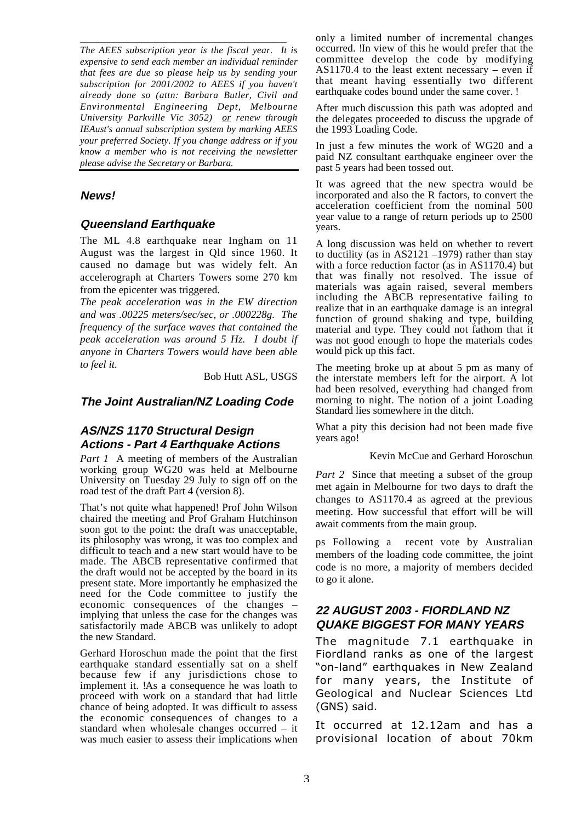\_\_\_\_\_\_\_\_\_\_\_\_\_\_\_\_\_\_\_\_\_\_\_\_\_\_\_\_\_\_\_\_\_\_\_\_\_\_\_\_\_\_\_ *The AEES subscription year is the fiscal year. It is expensive to send each member an individual reminder that fees are due so please help us by sending your subscription for 2001/2002 to AEES if you haven't already done so (attn: Barbara Butler, Civil and Environmental Engineering Dept, Melbourne University Parkville Vic 3052) or renew through IEAust's annual subscription system by marking AEES your preferred Society. If you change address or if you know a member who is not receiving the newsletter please advise the Secretary or Barbara.*

#### **News!**

#### **Queensland Earthquake**

The ML 4.8 earthquake near Ingham on 11 August was the largest in Qld since 1960. It caused no damage but was widely felt. An accelerograph at Charters Towers some 270 km from the epicenter was triggered.

*The peak acceleration was in the EW direction and was .00225 meters/sec/sec, or .000228g. The frequency of the surface waves that contained the peak acceleration was around 5 Hz. I doubt if anyone in Charters Towers would have been able to feel it.*

Bob Hutt ASL, USGS

#### **The Joint Australian/NZ Loading Code**

#### **AS/NZS 1170 Structural Design Actions - Part 4 Earthquake Actions**

*Part 1* A meeting of members of the Australian working group WG20 was held at Melbourne University on Tuesday 29 July to sign off on the road test of the draft Part 4 (version 8).

That's not quite what happened! Prof John Wilson chaired the meeting and Prof Graham Hutchinson soon got to the point: the draft was unacceptable, its philosophy was wrong, it was too complex and difficult to teach and a new start would have to be made. The ABCB representative confirmed that the draft would not be accepted by the board in its present state. More importantly he emphasized the need for the Code committee to justify the economic consequences of the changes – implying that unless the case for the changes was satisfactorily made ABCB was unlikely to adopt the new Standard.

Gerhard Horoschun made the point that the first earthquake standard essentially sat on a shelf because few if any jurisdictions chose to implement it. !As a consequence he was loath to proceed with work on a standard that had little chance of being adopted. It was difficult to assess the economic consequences of changes to a standard when wholesale changes occurred – it was much easier to assess their implications when

only a limited number of incremental changes occurred. In view of this he would prefer that the committee develop the code by modifying AS1170.4 to the least extent necessary – even if that meant having essentially two different earthquake codes bound under the same cover. !

After much discussion this path was adopted and the delegates proceeded to discuss the upgrade of the 1993 Loading Code.

In just a few minutes the work of WG20 and a paid NZ consultant earthquake engineer over the past 5 years had been tossed out.

It was agreed that the new spectra would be incorporated and also the R factors, to convert the acceleration coefficient from the nominal 500 year value to a range of return periods up to 2500 years.

A long discussion was held on whether to revert to ductility (as in AS2121 –1979) rather than stay with a force reduction factor (as in AS1170.4) but that was finally not resolved. The issue of materials was again raised, several members including the ABCB representative failing to realize that in an earthquake damage is an integral function of ground shaking and type, building material and type. They could not fathom that it was not good enough to hope the materials codes would pick up this fact.

The meeting broke up at about 5 pm as many of the interstate members left for the airport. A lot had been resolved, everything had changed from morning to night. The notion of a joint Loading Standard lies somewhere in the ditch.

What a pity this decision had not been made five years ago!

Kevin McCue and Gerhard Horoschun

*Part 2* Since that meeting a subset of the group met again in Melbourne for two days to draft the changes to AS1170.4 as agreed at the previous meeting. How successful that effort will be will await comments from the main group.

ps Following a recent vote by Australian members of the loading code committee, the joint code is no more, a majority of members decided to go it alone.

# **22 AUGUST 2003 - FIORDLAND NZ QUAKE BIGGEST FOR MANY YEARS**

The magnitude 7.1 earthquake in Fiordland ranks as one of the largest "on-land" earthquakes in New Zealand for many years, the Institute of Geological and Nuclear Sciences Ltd (GNS) said.

It occurred at 12.12am and has a provisional location of about 70km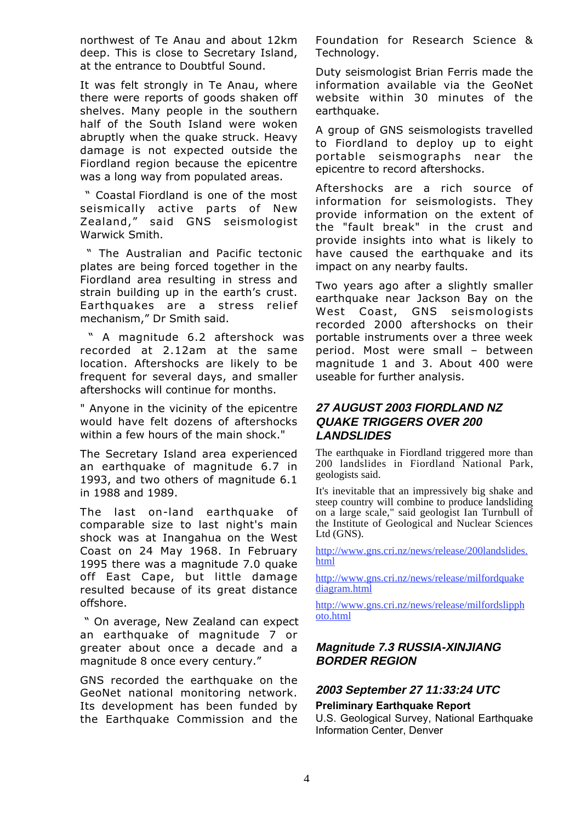northwest of Te Anau and about 12km deep. This is close to Secretary Island, at the entrance to Doubtful Sound.

It was felt strongly in Te Anau, where there were reports of goods shaken off shelves. Many people in the southern half of the South Island were woken abruptly when the quake struck. Heavy damage is not expected outside the Fiordland region because the epicentre was a long way from populated areas.

" Coastal Fiordland is one of the most seismically active parts of New Zealand," said GNS seismologist Warwick Smith.

" The Australian and Pacific tectonic plates are being forced together in the Fiordland area resulting in stress and strain building up in the earth's crust. Earthquakes are a stress relief mechanism," Dr Smith said.

" A magnitude 6.2 aftershock was recorded at 2.12am at the same location. Aftershocks are likely to be frequent for several days, and smaller aftershocks will continue for months.

" Anyone in the vicinity of the epicentre would have felt dozens of aftershocks within a few hours of the main shock."

The Secretary Island area experienced an earthquake of magnitude 6.7 in 1993, and two others of magnitude 6.1 in 1988 and 1989.

The last on-land earthquake of comparable size to last night's main shock was at Inangahua on the West Coast on 24 May 1968. In February 1995 there was a magnitude 7.0 quake off East Cape, but little damage resulted because of its great distance offshore.

" On average, New Zealand can expect an earthquake of magnitude 7 or greater about once a decade and a magnitude 8 once every century."

GNS recorded the earthquake on the GeoNet national monitoring network. Its development has been funded by the Earthquake Commission and the Foundation for Research Science & Technology.

Duty seismologist Brian Ferris made the information available via the GeoNet website within 30 minutes of the earthquake.

A group of GNS seismologists travelled to Fiordland to deploy up to eight portable seismographs near the epicentre to record aftershocks.

Aftershocks are a rich source of information for seismologists. They provide information on the extent of the "fault break" in the crust and provide insights into what is likely to have caused the earthquake and its impact on any nearby faults.

Two years ago after a slightly smaller earthquake near Jackson Bay on the West Coast, GNS seismologists recorded 2000 aftershocks on their portable instruments over a three week period. Most were small – between magnitude 1 and 3. About 400 were useable for further analysis.

# **27 AUGUST 2003 FIORDLAND NZ QUAKE TRIGGERS OVER 200 LANDSLIDES**

The earthquake in Fiordland triggered more than 200 landslides in Fiordland National Park, geologists said.

It's inevitable that an impressively big shake and steep country will combine to produce landsliding on a large scale," said geologist Ian Turnbull of the Institute of Geological and Nuclear Sciences Ltd (GNS).

http://www.gns.cri.nz/news/release/200landslides. html

http://www.gns.cri.nz/news/release/milfordquake diagram.html

http://www.gns.cri.nz/news/release/milfordslipph oto.html

# **Magnitude 7.3 RUSSIA-XINJIANG BORDER REGION**

# **2003 September 27 11:33:24 UTC**

#### **Preliminary Earthquake Report**

U.S. Geological Survey, National Earthquake Information Center, Denver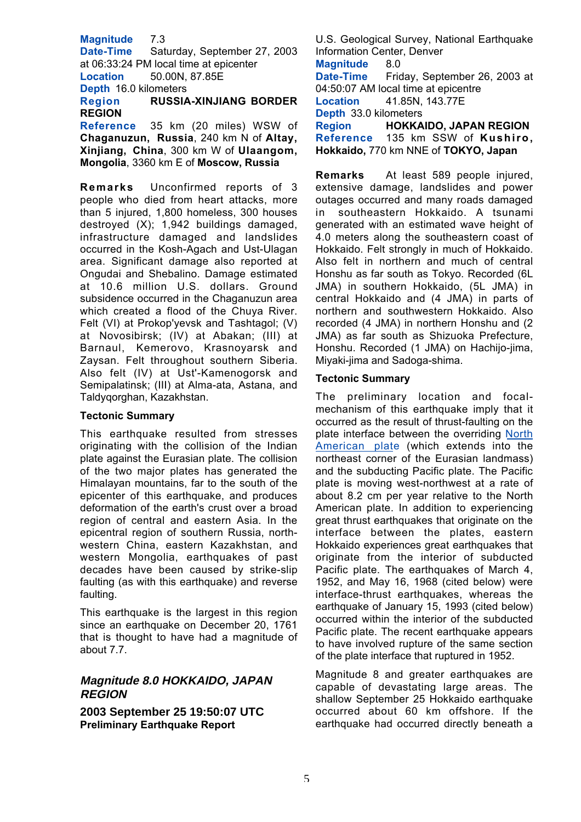**Magnitude** 7.3

**Date-Time** Saturday, September 27, 2003 at 06:33:24 PM local time at epicenter **Location** 50.00N, 87.85E **Depth** 16.0 kilometers **Region RUSSIA-XINJIANG BORDER**

**REGION Reference** 35 km (20 miles) WSW of **Chaganuzun, Russia**, 240 km N of **Altay, Xinjiang, China**, 300 km W of **Ulaangom,**

**Mongolia**, 3360 km E of **Moscow, Russia**

**Remarks** Unconfirmed reports of 3 people who died from heart attacks, more than 5 injured, 1,800 homeless, 300 houses destroyed (X); 1,942 buildings damaged, infrastructure damaged and landslides occurred in the Kosh-Agach and Ust-Ulagan area. Significant damage also reported at Ongudai and Shebalino. Damage estimated at 10.6 million U.S. dollars. Ground subsidence occurred in the Chaganuzun area which created a flood of the Chuya River. Felt (VI) at Prokop'yevsk and Tashtagol; (V) at Novosibirsk; (IV) at Abakan; (III) at Barnaul, Kemerovo, Krasnoyarsk and Zaysan. Felt throughout southern Siberia. Also felt (IV) at Ust'-Kamenogorsk and Semipalatinsk; (III) at Alma-ata, Astana, and Taldyqorghan, Kazakhstan.

#### **Tectonic Summary**

This earthquake resulted from stresses originating with the collision of the Indian plate against the Eurasian plate. The collision of the two major plates has generated the Himalayan mountains, far to the south of the epicenter of this earthquake, and produces deformation of the earth's crust over a broad region of central and eastern Asia. In the epicentral region of southern Russia, northwestern China, eastern Kazakhstan, and western Mongolia, earthquakes of past decades have been caused by strike-slip faulting (as with this earthquake) and reverse faulting.

This earthquake is the largest in this region since an earthquake on December 20, 1761 that is thought to have had a magnitude of about 7.7.

# **Magnitude 8.0 HOKKAIDO, JAPAN REGION**

**2003 September 25 19:50:07 UTC Preliminary Earthquake Report**

U.S. Geological Survey, National Earthquake Information Center, Denver

**Magnitude** 8.0 **Date-Time** Friday, September 26, 2003 at 04:50:07 AM local time at epicentre

**Location** 41.85N, 143.77E

**Depth** 33.0 kilometers

**Region HOKKAIDO, JAPAN REGION Reference** 135 km SSW of **Kushiro, Hokkaido,** 770 km NNE of **TOKYO, Japan**

**Remarks** At least 589 people injured, extensive damage, landslides and power outages occurred and many roads damaged in southeastern Hokkaido. A tsunami generated with an estimated wave height of 4.0 meters along the southeastern coast of Hokkaido. Felt strongly in much of Hokkaido. Also felt in northern and much of central Honshu as far south as Tokyo. Recorded (6L JMA) in southern Hokkaido, (5L JMA) in central Hokkaido and (4 JMA) in parts of northern and southwestern Hokkaido. Also recorded (4 JMA) in northern Honshu and (2 JMA) as far south as Shizuoka Prefecture, Honshu. Recorded (1 JMA) on Hachijo-jima, Miyaki-jima and Sadoga-shima.

#### **Tectonic Summary**

The preliminary location and focalmechanism of this earthquake imply that it occurred as the result of thrust-faulting on the plate interface between the overriding North American plate (which extends into the northeast corner of the Eurasian landmass) and the subducting Pacific plate. The Pacific plate is moving west-northwest at a rate of about 8.2 cm per year relative to the North American plate. In addition to experiencing great thrust earthquakes that originate on the interface between the plates, eastern Hokkaido experiences great earthquakes that originate from the interior of subducted Pacific plate. The earthquakes of March 4, 1952, and May 16, 1968 (cited below) were interface-thrust earthquakes, whereas the earthquake of January 15, 1993 (cited below) occurred within the interior of the subducted Pacific plate. The recent earthquake appears to have involved rupture of the same section of the plate interface that ruptured in 1952.

Magnitude 8 and greater earthquakes are capable of devastating large areas. The shallow September 25 Hokkaido earthquake occurred about 60 km offshore. If the earthquake had occurred directly beneath a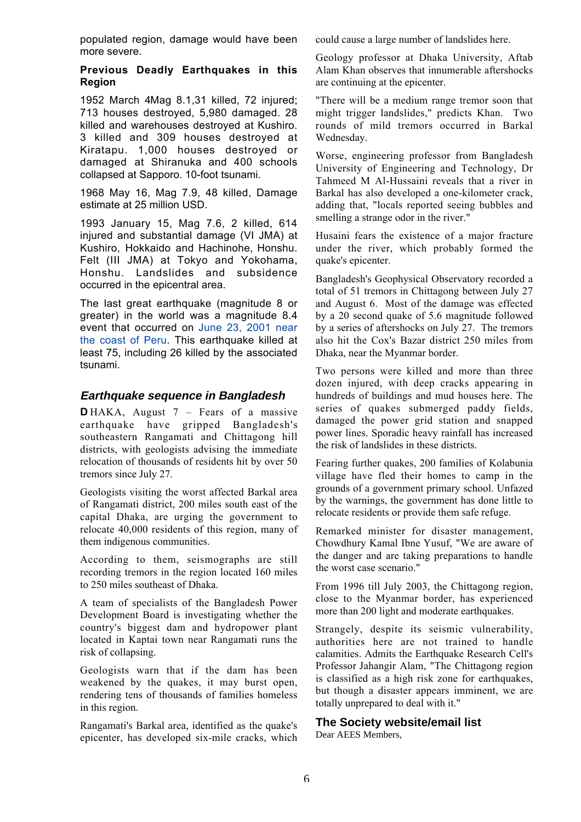populated region, damage would have been more severe.

#### **Previous Deadly Earthquakes in this Region**

1952 March 4Mag 8.1,31 killed, 72 injured; 713 houses destroyed, 5,980 damaged. 28 killed and warehouses destroyed at Kushiro. 3 killed and 309 houses destroyed at Kiratapu. 1,000 houses destroyed or damaged at Shiranuka and 400 schools collapsed at Sapporo. 10-foot tsunami.

1968 May 16, Mag 7.9, 48 killed, Damage estimate at 25 million USD.

1993 January 15, Mag 7.6, 2 killed, 614 injured and substantial damage (VI JMA) at Kushiro, Hokkaido and Hachinohe, Honshu. Felt (III JMA) at Tokyo and Yokohama, Honshu. Landslides and subsidence occurred in the epicentral area.

The last great earthquake (magnitude 8 or greater) in the world was a magnitude 8.4 event that occurred on June 23, 2001 near the coast of Peru. This earthquake killed at least 75, including 26 killed by the associated tsunami.

#### **Earthquake sequence in Bangladesh**

**D** HAKA, August 7 – Fears of a massive earthquake have gripped Bangladesh's southeastern Rangamati and Chittagong hill districts, with geologists advising the immediate relocation of thousands of residents hit by over 50 tremors since July 27.

Geologists visiting the worst affected Barkal area of Rangamati district, 200 miles south east of the capital Dhaka, are urging the government to relocate 40,000 residents of this region, many of them indigenous communities.

According to them, seismographs are still recording tremors in the region located 160 miles to 250 miles southeast of Dhaka.

A team of specialists of the Bangladesh Power Development Board is investigating whether the country's biggest dam and hydropower plant located in Kaptai town near Rangamati runs the risk of collapsing.

Geologists warn that if the dam has been weakened by the quakes, it may burst open, rendering tens of thousands of families homeless in this region.

Rangamati's Barkal area, identified as the quake's epicenter, has developed six-mile cracks, which

could cause a large number of landslides here.

Geology professor at Dhaka University, Aftab Alam Khan observes that innumerable aftershocks are continuing at the epicenter.

"There will be a medium range tremor soon that might trigger landslides," predicts Khan. Two rounds of mild tremors occurred in Barkal Wednesday.

Worse, engineering professor from Bangladesh University of Engineering and Technology, Dr Tahmeed M Al-Hussaini reveals that a river in Barkal has also developed a one-kilometer crack, adding that, "locals reported seeing bubbles and smelling a strange odor in the river."

Husaini fears the existence of a major fracture under the river, which probably formed the quake's epicenter.

Bangladesh's Geophysical Observatory recorded a total of 51 tremors in Chittagong between July 27 and August 6. Most of the damage was effected by a 20 second quake of 5.6 magnitude followed by a series of aftershocks on July 27. The tremors also hit the Cox's Bazar district 250 miles from Dhaka, near the Myanmar border.

Two persons were killed and more than three dozen injured, with deep cracks appearing in hundreds of buildings and mud houses here. The series of quakes submerged paddy fields, damaged the power grid station and snapped power lines. Sporadic heavy rainfall has increased the risk of landslides in these districts.

Fearing further quakes, 200 families of Kolabunia village have fled their homes to camp in the grounds of a government primary school. Unfazed by the warnings, the government has done little to relocate residents or provide them safe refuge.

Remarked minister for disaster management, Chowdhury Kamal Ibne Yusuf, "We are aware of the danger and are taking preparations to handle the worst case scenario."

From 1996 till July 2003, the Chittagong region, close to the Myanmar border, has experienced more than 200 light and moderate earthquakes.

Strangely, despite its seismic vulnerability, authorities here are not trained to handle calamities. Admits the Earthquake Research Cell's Professor Jahangir Alam, "The Chittagong region is classified as a high risk zone for earthquakes, but though a disaster appears imminent, we are totally unprepared to deal with it."

#### **The Society website/email list**

Dear AEES Members,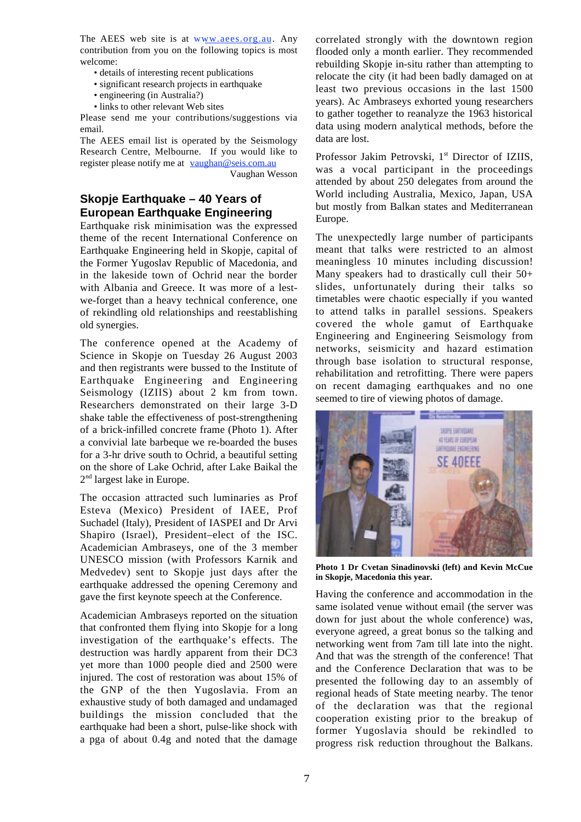The AEES web site is at www.aees.org.au. Any contribution from you on the following topics is most welcome:

- details of interesting recent publications
- significant research projects in earthquake
- engineering (in Australia?)
- links to other relevant Web sites

Please send me your contributions/suggestions via email.

The AEES email list is operated by the Seismology Research Centre, Melbourne. If you would like to register please notify me at vaughan@seis.com.au

Vaughan Wesson

# **Skopje Earthquake – 40 Years of European Earthquake Engineering**

Earthquake risk minimisation was the expressed theme of the recent International Conference on Earthquake Engineering held in Skopje, capital of the Former Yugoslav Republic of Macedonia, and in the lakeside town of Ochrid near the border with Albania and Greece. It was more of a lestwe-forget than a heavy technical conference, one of rekindling old relationships and reestablishing old synergies.

The conference opened at the Academy of Science in Skopje on Tuesday 26 August 2003 and then registrants were bussed to the Institute of Earthquake Engineering and Engineering Seismology (IZIIS) about 2 km from town. Researchers demonstrated on their large 3-D shake table the effectiveness of post-strengthening of a brick-infilled concrete frame (Photo 1). After a convivial late barbeque we re-boarded the buses for a 3-hr drive south to Ochrid, a beautiful setting on the shore of Lake Ochrid, after Lake Baikal the 2nd largest lake in Europe.

The occasion attracted such luminaries as Prof Esteva (Mexico) President of IAEE, Prof Suchadel (Italy), President of IASPEI and Dr Arvi Shapiro (Israel), President–elect of the ISC. Academician Ambraseys, one of the 3 member UNESCO mission (with Professors Karnik and Medvedev) sent to Skopie just days after the earthquake addressed the opening Ceremony and gave the first keynote speech at the Conference.

Academician Ambraseys reported on the situation that confronted them flying into Skopje for a long investigation of the earthquake's effects. The destruction was hardly apparent from their DC3 yet more than 1000 people died and 2500 were injured. The cost of restoration was about 15% of the GNP of the then Yugoslavia. From an exhaustive study of both damaged and undamaged buildings the mission concluded that the earthquake had been a short, pulse-like shock with a pga of about 0.4g and noted that the damage

correlated strongly with the downtown region flooded only a month earlier. They recommended rebuilding Skopje in-situ rather than attempting to relocate the city (it had been badly damaged on at least two previous occasions in the last 1500 years). Ac Ambraseys exhorted young researchers to gather together to reanalyze the 1963 historical data using modern analytical methods, before the data are lost.

Professor Jakim Petrovski, 1<sup>st</sup> Director of IZIIS, was a vocal participant in the proceedings attended by about 250 delegates from around the World including Australia, Mexico, Japan, USA but mostly from Balkan states and Mediterranean Europe.

The unexpectedly large number of participants meant that talks were restricted to an almost meaningless 10 minutes including discussion! Many speakers had to drastically cull their 50+ slides, unfortunately during their talks so timetables were chaotic especially if you wanted to attend talks in parallel sessions. Speakers covered the whole gamut of Earthquake Engineering and Engineering Seismology from networks, seismicity and hazard estimation through base isolation to structural response, rehabilitation and retrofitting. There were papers on recent damaging earthquakes and no one seemed to tire of viewing photos of damage.



**Photo 1 Dr Cvetan Sinadinovski (left) and Kevin McCue in Skopje, Macedonia this year.**

Having the conference and accommodation in the same isolated venue without email (the server was down for just about the whole conference) was, everyone agreed, a great bonus so the talking and networking went from 7am till late into the night. And that was the strength of the conference! That and the Conference Declaration that was to be presented the following day to an assembly of regional heads of State meeting nearby. The tenor of the declaration was that the regional cooperation existing prior to the breakup of former Yugoslavia should be rekindled to progress risk reduction throughout the Balkans.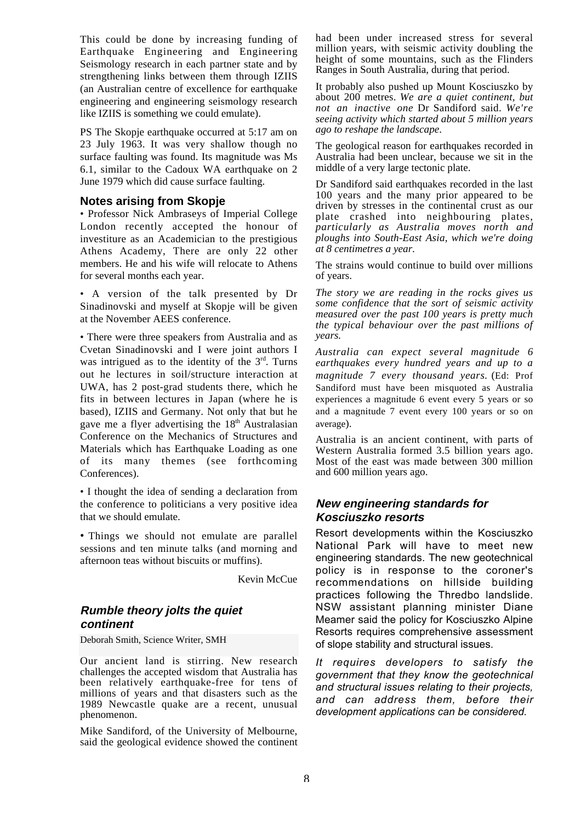This could be done by increasing funding of Earthquake Engineering and Engineering Seismology research in each partner state and by strengthening links between them through IZIIS (an Australian centre of excellence for earthquake engineering and engineering seismology research like IZIIS is something we could emulate).

PS The Skopje earthquake occurred at 5:17 am on 23 July 1963. It was very shallow though no surface faulting was found. Its magnitude was Ms 6.1, similar to the Cadoux WA earthquake on 2 June 1979 which did cause surface faulting.

#### **Notes arising from Skopje**

• Professor Nick Ambraseys of Imperial College London recently accepted the honour of investiture as an Academician to the prestigious Athens Academy, There are only 22 other members. He and his wife will relocate to Athens for several months each year.

• A version of the talk presented by Dr Sinadinovski and myself at Skopie will be given at the November AEES conference.

• There were three speakers from Australia and as Cvetan Sinadinovski and I were joint authors I was intrigued as to the identity of the  $3<sup>rd</sup>$ . Turns out he lectures in soil/structure interaction at UWA, has 2 post-grad students there, which he fits in between lectures in Japan (where he is based), IZIIS and Germany. Not only that but he gave me a flyer advertising the  $18<sup>th</sup>$  Australasian Conference on the Mechanics of Structures and Materials which has Earthquake Loading as one of its many themes (see forthcoming Conferences).

• I thought the idea of sending a declaration from the conference to politicians a very positive idea that we should emulate.

• Things we should not emulate are parallel sessions and ten minute talks (and morning and afternoon teas without biscuits or muffins).

Kevin McCue

# **Rumble theory jolts the quiet continent**

Deborah Smith, Science Writer, SMH

Our ancient land is stirring. New research challenges the accepted wisdom that Australia has been relatively earthquake-free for tens of millions of years and that disasters such as the 1989 Newcastle quake are a recent, unusual phenomenon.

Mike Sandiford, of the University of Melbourne, said the geological evidence showed the continent had been under increased stress for several million years, with seismic activity doubling the height of some mountains, such as the Flinders Ranges in South Australia, during that period.

It probably also pushed up Mount Kosciuszko by about 200 metres. *We are a quiet continent, but not an inactive one* Dr Sandiford said. *We're seeing activity which started about 5 million years ago to reshape the landscape*.

The geological reason for earthquakes recorded in Australia had been unclear, because we sit in the middle of a very large tectonic plate.

Dr Sandiford said earthquakes recorded in the last 100 years and the many prior appeared to be driven by stresses in the continental crust as our plate crashed into neighbouring plates, *particularly as Australia moves north and ploughs into South-East Asia, which we're doing at 8 centimetres a year*.

The strains would continue to build over millions of years.

*The story we are reading in the rocks gives us some confidence that the sort of seismic activity measured over the past 100 years is pretty much the typical behaviour over the past millions of years.*

*Australia can expect several magnitude 6 earthquakes every hundred years and up to a magnitude 7 every thousand years.* (Ed: Prof Sandiford must have been misquoted as Australia experiences a magnitude 6 event every 5 years or so and a magnitude 7 event every 100 years or so on average).

Australia is an ancient continent, with parts of Western Australia formed 3.5 billion years ago. Most of the east was made between 300 million and 600 million years ago.

# **New engineering standards for Kosciuszko resorts**

Resort developments within the Kosciuszko National Park will have to meet new engineering standards. The new geotechnical policy is in response to the coroner's recommendations on hillside building practices following the Thredbo landslide. NSW assistant planning minister Diane Meamer said the policy for Kosciuszko Alpine Resorts requires comprehensive assessment of slope stability and structural issues.

*It requires developers to satisfy the government that they know the geotechnical and structural issues relating to their projects, and can address them, before their development applications can be considered*.